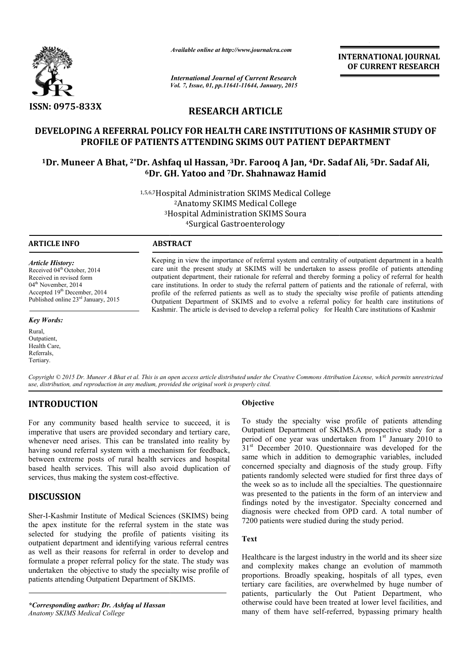

*Available online at http://www.journalcra.com*

**INTERNATIONAL INTERNATIONAL JOURNAL OF CURRENT RESEARCH** 

*International Journal of Current Research Vol. 7, Issue, 01, pp.11641-11644, January, 2015*

### **RESEARCH ARTICLE**

## **DEVELOPING A REFERRAL POLICY FOR HEALTH CARE INSTITUTIONS OF KASHMIR STUDY OF PROFILE OF PATIENTS ATTENDING SKIMS OUT PATIENT DEPARTMENT** EVELOPING A REFERRAL POLICY FOR HEALTH CARE INSTITUTIONS OF KASHMIR STUDY OF<br>PROFILE OF PATIENTS ATTENDING SKIMS OUT PATIENT DEPARTMENT<br><sup>1</sup>Dr. Muneer A Bhat, <sup>2\*</sup>Dr. Ashfaq ul Hassan, <sup>3</sup>Dr. Farooq A Jan, <sup>4</sup>Dr. Sadaf Ali,

# **6Dr. GH. Yatoo and Dr. 7Dr. Shahnawaz Hamid**

1,5,6,7Hospital Administration SKIMS Medical College Hospital 2Anatomy SKIMS Medical College 3Hospital Administration SKIMS Soura Hospital 4Surgical Gastroenterology

j

#### **ARTICLE INFO ABSTRACT**

*Article History:* Received 04<sup>th</sup> October, 2014 Received in revised form 04<sup>th</sup> November, 2014 Accepted 19th December, 2014 Published online 23rd January, 2015

#### *Key Words:*

Rural, Outpatient, Health Care, Referrals, Tertiary.

Keeping in view the importance of referral system and centrality of outpatient department in a health Keeping in view the importance of referral system and centrality of outpatient department in a health care unit the present study at SKIMS will be undertaken to assess profile of patients attending outpatient department, their rationale for referral and thereby forming a policy of referral for health care institutions. In order to study the referral pattern of patients and the rationale of referral, with profile of the referred patients as well as to study the specialty wise profile of patients attending Outpatient Department of SKIMS and to evolve a referral policy for health care institutions of Kashmir. The article is devised to develop a referral policy for Health Care institutions of Kashmir lepartment, their rationale for referral and thereby forming a policy of referral for healtions. In order to study the referral pattern of patients and the rationale of referral, whe referred patients as well as to study t

Copyright © 2015 Dr. Muneer A Bhat et al. This is an open access article distributed under the Creative Commons Attribution License, which permits unrestricted *use, distribution, and reproduction in any medium, provided the original work is properly cited.*

### **INTRODUCTION**

For any community based health service to succeed, it is imperative that users are provided secondary and tertiary care, whenever need arises. This can be translated into reality by having sound referral system with a mechanism for feedback, between extreme posts of rural health services and hospital based health services. This will also avoid duplication of services, thus making the system cost-effective. **Solution**<br> **Solution**<br> **Solution**<br> **Solution**<br> **Solution**<br> **Solution**<br> **Solution**<br> **Solution**<br> **Solution**<br> **Solution**<br> **Solution**<br> **Solution**<br> **Solution**<br> **Solution**<br> **Solution**<br> **Solution**<br> **Solution**<br> **Solution**<br> **Solut** 

#### **DISCUSSION**

services, thus making the system cost-effective.<br> **DISCUSSION**<br>
Sher-I-Kashmir Institute of Medical Sciences (SKIMS) being the apex institute for the referral system in the state was selected for studying the profile of patients visiting its outpatient department and identifying various referral centres as well as their reasons for referral in order to develop and formulate a proper referral policy for the state. The study was undertaken the objective to study the specialty wise profile of patients attending Outpatient Department of SKIMS.

*\*Corresponding author: Dr. Ashfaq ul Hassan Anatomy SKIMS Medical College*

To study the specialty wise profile of patients attending Outpatient Department of SKIMS.A prospective study for a To study the specialty wise profile of patients attending Outpatient Department of SKIMS.A prospective study for a period of one year was undertaken from 1<sup>st</sup> January 2010 to  $31<sup>st</sup>$  December 2010. Questionnaire was developed for the  $31<sup>st</sup>$  December 2010. Questionnaire was developed for the same which in addition to demographic variables, included concerned specialty and diagnosis of the study group. Fifty patients randomly selected were studied for first three days of the week so as to include all the specialties. The questionnaire was presented to the patients in the form of an interview and findings noted by the investigator. Specialty concerned and diagnosis were checked from OPD card. A total number of 7200 patients were studied during the study period. Findings noted by the investigator. Specialty concerned and diagnosis were checked from OPD card. A total number of 7200 patients were studied during the study period.<br>Text<br>Healthcare is the largest industry in the world a erned specialty and diagnosis of the study group. Fifty ints randomly selected were studied for first three days of veek so as to include all the specialties. The questionnaire presented to the patients in the form of an i EXERENT TOWAL IOURNAL TOWAL IOURNAL CONTROL CONTROL CONTROL CONTROL CONTROL CONTROL CONTROL CONTROL CONTROL CONTROL CONTROL CONTROL CONTROL CONTROL CONTROL CONTROL CONTROL CONTROL CONTROL CONTROL CONTROL CONTROL CONTROL CO

#### **Text**

and complexity makes change an evolution of mammoth proportions. Broadly speaking, hospitals of all types, even tertiary care facilities, are overwhelmed by huge number of patients, particularly the Out Patient Department, who otherwise could have been treated at lower level facilities, and many of them have self-referred, bypassing primary health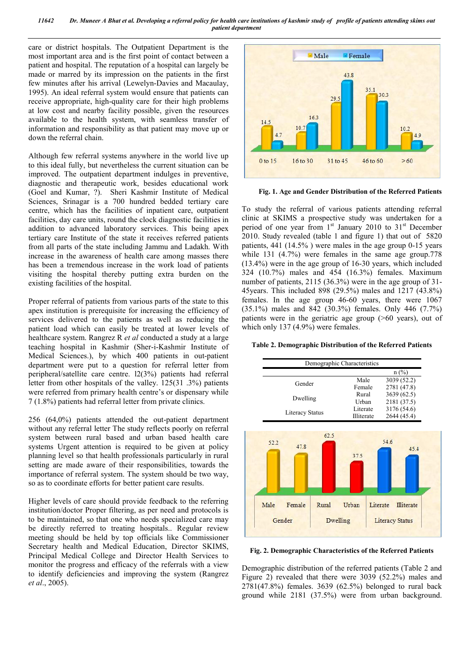*11642 Dr. Muneer A Bhat et al. Developing a referral policy for health care institutions of kashmir study of profile of patients attending skims out patient department*

care or district hospitals. The Outpatient Department is the most important area and is the first point of contact between a patient and hospital. The reputation of a hospital can largely be made or marred by its impression on the patients in the first few minutes after his arrival (Lewelyn-Davies and Macaulay, 1995). An ideal referral system would ensure that patients can receive appropriate, high-quality care for their high problems at low cost and nearby facility possible, given the resources available to the health system, with seamless transfer of information and responsibility as that patient may move up or down the referral chain.

Although few referral systems anywhere in the world live up to this ideal fully, but nevertheless the current situation can be improved. The outpatient department indulges in preventive, diagnostic and therapeutic work, besides educational work (Goel and Kumar, ?). Sheri Kashmir Institute of Medical Sciences, Srinagar is a 700 hundred bedded tertiary care centre, which has the facilities of inpatient care, outpatient facilities, day care units, round the clock diagnostic facilities in addition to advanced laboratory services. This being apex tertiary care Institute of the state it receives referred patients from all parts of the state including Jammu and Ladakh. With increase in the awareness of health care among masses there has been a tremendous increase in the work load of patients visiting the hospital thereby putting extra burden on the existing facilities of the hospital.

Proper referral of patients from various parts of the state to this apex institution is prerequisite for increasing the efficiency of services delivered to the patients as well as reducing the patient load which can easily be treated at lower levels of healthcare system. Rangrez R *et al* conducted a study at a large teaching hospital in Kashmir (Sher-i-Kashmir Institute of Medical Sciences.), by which 400 patients in out-patient department were put to a question for referral letter from peripheral/satellite care centre. l2(3%) patients had referral letter from other hospitals of the valley. 125(31 .3%) patients were referred from primary health centre's or dispensary while 7 (1.8%) patients had referral letter from private clinics.

256 (64,0%) patients attended the out-patient department without any referral letter The study reflects poorly on referral system between rural based and urban based health care systems Urgent attention is required to be given at policy planning level so that health professionals particularly in rural setting are made aware of their responsibilities, towards the importance of referral system. The system should be two way, so as to coordinate efforts for better patient care results.

Higher levels of care should provide feedback to the referring institution/doctor Proper filtering, as per need and protocols is to be maintained, so that one who needs specialized care may be directly referred to treating hospitals.. Regular review meeting should be held by top officials like Commissioner Secretary health and Medical Education, Director SKIMS, Principal Medical College and Director Health Services to monitor the progress and efficacy of the referrals with a view to identify deficiencies and improving the system (Rangrez *et al*., 2005).



**Fig. 1. Age and Gender Distribution of the Referred Patients**

To study the referral of various patients attending referral clinic at SKIMS a prospective study was undertaken for a period of one year from 1<sup>st</sup> January 2010 to 31<sup>st</sup> December 2010. Study revealed (table 1 and figure 1) that out of 5820 patients, 441 (14.5% ) were males in the age group 0-15 years while 131 (4.7%) were females in the same age group.778 (13.4%) were in the age group of 16-30 years, which included 324 (10.7%) males and 454 (16.3%) females. Maximum number of patients, 2115 (36.3%) were in the age group of 31-45years. This included 898 (29.5%) males and 1217 (43.8%) females. In the age group 46-60 years, there were 1067 (35.1%) males and 842 (30.3%) females. Only 446 (7.7%) patients were in the geriatric age group (>60 years), out of which only 137 (4.9%) were females.

#### **Table 2. Demographic Distribution of the Referred Patients**

| Male       | 3039 (52.2)                       |
|------------|-----------------------------------|
|            |                                   |
| Female     | 2781 (47.8)                       |
| Rural      | 3639 (62.5)                       |
|            | 2181 (37.5)                       |
| Literate   | 3176 (54.6)                       |
| Illiterate | 2644 (45.4)                       |
|            |                                   |
| Urban      | <b>Illiterate</b>                 |
|            |                                   |
|            | Urban<br>54.6<br>37.5<br>Literate |

**Fig. 2. Demographic Characteristics of the Referred Patients**

Demographic distribution of the referred patients (Table 2 and Figure 2) revealed that there were 3039 (52.2%) males and 2781(47.8%) females. 3639 (62.5%) belonged to rural back ground while 2181 (37.5%) were from urban background.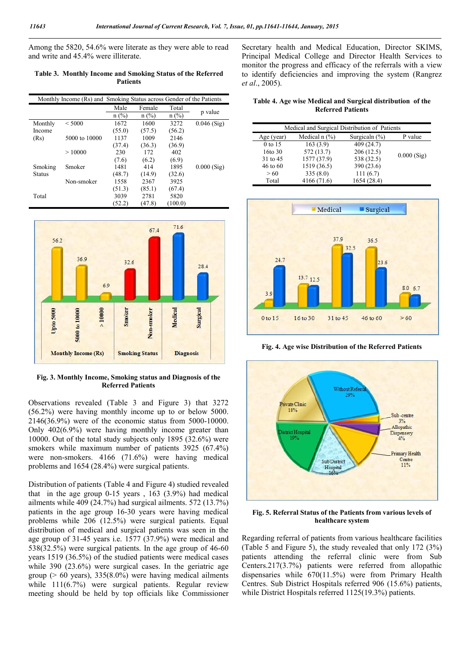Among the 5820, 54.6% were literate as they were able to read and write and 45.4% were illiterate.

#### **Table 3. Monthly Income and Smoking Status of the Referred Patients**

|               | Monthly Income (Rs) and Smoking Status across Gender of the Patients |         |         |         |               |
|---------------|----------------------------------------------------------------------|---------|---------|---------|---------------|
|               |                                                                      | Male    | Female  | Total   | p value       |
|               |                                                                      | $n$ (%) | $n$ (%) | $n$ (%) |               |
| Monthly       | < 5000                                                               | 1672    | 1600    | 3272    | $0.046$ (Sig) |
| Income        |                                                                      | (55.0)  | (57.5)  | (56.2)  |               |
| (Rs)          | 5000 to 10000                                                        | 1137    | 1009    | 2146    |               |
|               |                                                                      | (37.4)  | (36.3)  | (36.9)  |               |
|               | >10000                                                               | 230     | 172     | 402     |               |
|               |                                                                      | (7.6)   | (6.2)   | (6.9)   |               |
| Smoking       | Smoker                                                               | 1481    | 414     | 1895    | $0.000$ (Sig) |
| <b>Status</b> |                                                                      | (48.7)  | (14.9)  | (32.6)  |               |
|               | Non-smoker                                                           | 1558    | 2367    | 3925    |               |
|               |                                                                      | (51.3)  | (85.1)  | (67.4)  |               |
| Total         |                                                                      | 3039    | 2781    | 5820    |               |
|               |                                                                      | (52.2)  | (47.8)  | (100.0) |               |



**Fig. 3. Monthly Income, Smoking status and Diagnosis of the Referred Patients**

Observations revealed (Table 3 and Figure 3) that 3272 (56.2%) were having monthly income up to or below 5000. 2146(36.9%) were of the economic status from 5000-10000. Only 402(6.9%) were having monthly income greater than 10000. Out of the total study subjects only 1895 (32.6%) were smokers while maximum number of patients 3925 (67.4%) were non-smokers. 4166 (71.6%) were having medical problems and 1654 (28.4%) were surgical patients.

Distribution of patients (Table 4 and Figure 4) studied revealed that in the age group 0-15 years , 163 (3.9%) had medical ailments while 409 (24.7%) had surgical ailments. 572 (13.7%) patients in the age group 16-30 years were having medical problems while 206 (12.5%) were surgical patients. Equal distribution of medical and surgical patients was seen in the age group of 31-45 years i.e. 1577 (37.9%) were medical and 538(32.5%) were surgical patients. In the age group of 46-60 years 1519 (36.5%) of the studied patients were medical cases while 390 (23.6%) were surgical cases. In the geriatric age group ( $> 60$  years), 335(8.0%) were having medical ailments while 111(6.7%) were surgical patients. Regular review meeting should be held by top officials like Commissioner

Secretary health and Medical Education, Director SKIMS, Principal Medical College and Director Health Services to monitor the progress and efficacy of the referrals with a view to identify deficiencies and improving the system (Rangrez *et al*., 2005).

**Table 4. Age wise Medical and Surgical distribution of the Referred Patients**

| Medical and Surgical Distribution of Patients |                   |                   |               |  |  |
|-----------------------------------------------|-------------------|-------------------|---------------|--|--|
| Age (year)                                    | Medical n $(\% )$ | Surgicaln $(\% )$ | P value       |  |  |
| 0 to 15                                       | 163(3.9)          | 409(24.7)         |               |  |  |
| 16to 30                                       | 572 (13.7)        | 206(12.5)         | $0.000$ (Sig) |  |  |
| 31 to 45                                      | 1577 (37.9)       | 538 (32.5)        |               |  |  |
| $46$ to $60$                                  | 1519 (36.5)       | 390 (23.6)        |               |  |  |
| > 60                                          | 335(8.0)          | 111(6.7)          |               |  |  |
| Total                                         | 4166 (71.6)       | 1654 (28.4)       |               |  |  |



**Fig. 4. Age wise Distribution of the Referred Patients**



**Fig. 5. Referral Status of the Patients from various levels of healthcare system**

Regarding referral of patients from various healthcare facilities (Table 5 and Figure 5), the study revealed that only 172 (3%) patients attending the referral clinic were from Sub Centers.217(3.7%) patients were referred from allopathic dispensaries while 670(11.5%) were from Primary Health Centres. Sub District Hospitals referred 906 (15.6%) patients, while District Hospitals referred 1125(19.3%) patients.